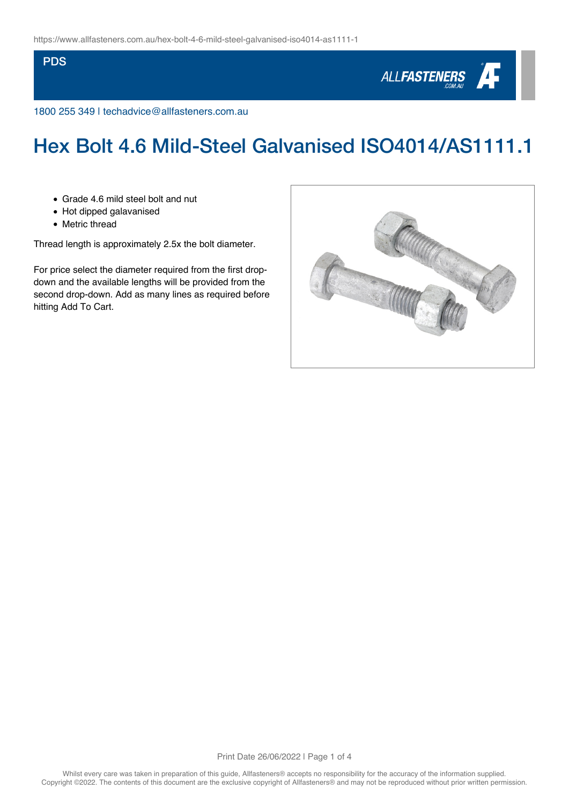### **PDS**



1800 255 349 | techadvice@allfasteners.com.au

# Hex Bolt 4.6 Mild-Steel Galvanised ISO4014/AS1111.1

- Grade 4.6 mild steel bolt and nut
- Hot dipped galavanised
- Metric thread

Thread length is approximately 2.5x the bolt diameter.

For price select the diameter required from the first dropdown and the available lengths will be provided from the second drop-down. Add as many lines as required before hitting Add To Cart.

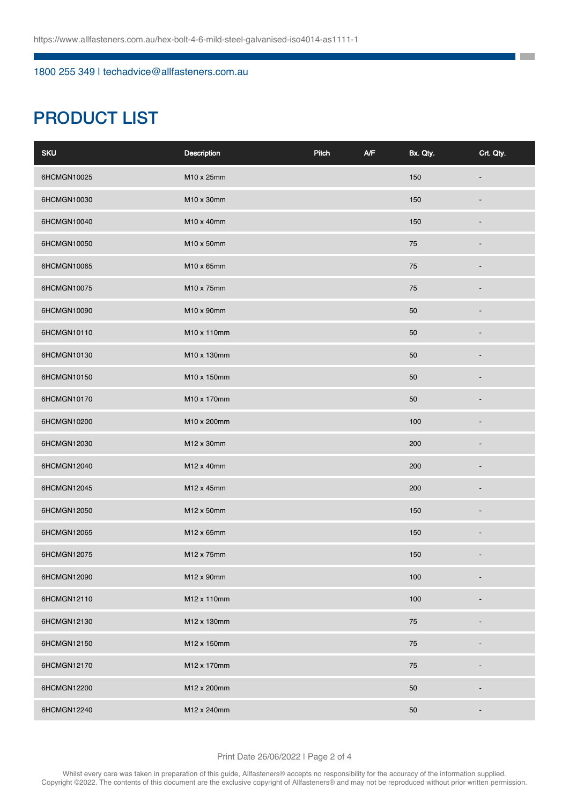### 1800 255 349 | techadvice@allfasteners.com.au

# PRODUCT LIST

| <b>SKU</b>  | Description | Pitch | A/F | Bx. Qty. | Crt. Qty. |
|-------------|-------------|-------|-----|----------|-----------|
| 6HCMGN10025 | M10 x 25mm  |       |     | 150      |           |
| 6HCMGN10030 | M10 x 30mm  |       |     | 150      |           |
| 6HCMGN10040 | M10 x 40mm  |       |     | 150      |           |
| 6HCMGN10050 | M10 x 50mm  |       |     | 75       |           |
| 6HCMGN10065 | M10 x 65mm  |       |     | 75       |           |
| 6HCMGN10075 | M10 x 75mm  |       |     | 75       |           |
| 6HCMGN10090 | M10 x 90mm  |       |     | 50       |           |
| 6HCMGN10110 | M10 x 110mm |       |     | 50       |           |
| 6HCMGN10130 | M10 x 130mm |       |     | 50       |           |
| 6HCMGN10150 | M10 x 150mm |       |     | 50       |           |
| 6HCMGN10170 | M10 x 170mm |       |     | 50       |           |
| 6HCMGN10200 | M10 x 200mm |       |     | 100      |           |
| 6HCMGN12030 | M12 x 30mm  |       |     | 200      |           |
| 6HCMGN12040 | M12 x 40mm  |       |     | 200      |           |
| 6HCMGN12045 | M12 x 45mm  |       |     | 200      |           |
| 6HCMGN12050 | M12 x 50mm  |       |     | 150      |           |
| 6HCMGN12065 | M12 x 65mm  |       |     | 150      |           |
| 6HCMGN12075 | M12 x 75mm  |       |     | 150      |           |
| 6HCMGN12090 | M12 x 90mm  |       |     | 100      |           |
| 6HCMGN12110 | M12 x 110mm |       |     | 100      |           |
| 6HCMGN12130 | M12 x 130mm |       |     | 75       |           |
| 6HCMGN12150 | M12 x 150mm |       |     | 75       |           |
| 6HCMGN12170 | M12 x 170mm |       |     | 75       |           |
| 6HCMGN12200 | M12 x 200mm |       |     | 50       |           |
| 6HCMGN12240 | M12 x 240mm |       |     | 50       |           |

**The Co** ٦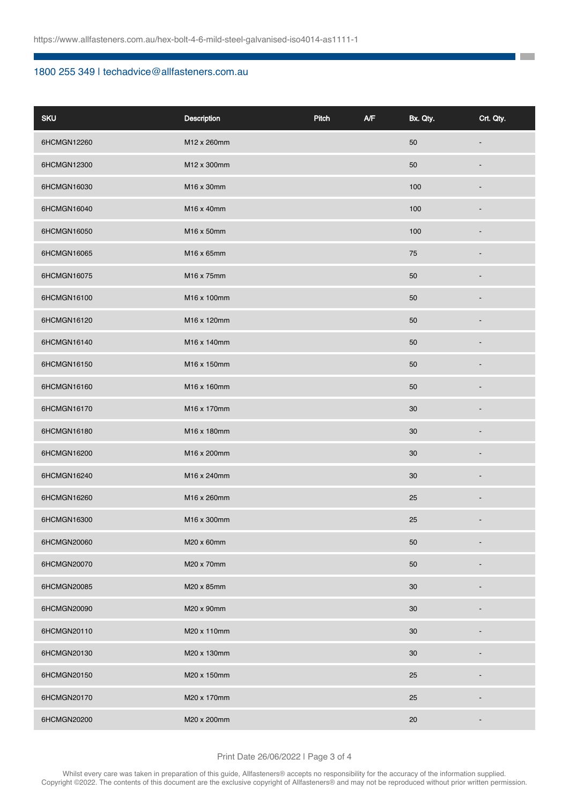### 1800 255 349 | techadvice@allfasteners.com.au

| <b>SKU</b>  | Description | Pitch | A/F | Bx. Qty. | Crt. Qty.                |
|-------------|-------------|-------|-----|----------|--------------------------|
| 6HCMGN12260 | M12 x 260mm |       |     | $50\,$   |                          |
| 6HCMGN12300 | M12 x 300mm |       |     | $50\,$   |                          |
| 6HCMGN16030 | M16 x 30mm  |       |     | 100      |                          |
| 6HCMGN16040 | M16 x 40mm  |       |     | 100      |                          |
| 6HCMGN16050 | M16 x 50mm  |       |     | 100      |                          |
| 6HCMGN16065 | M16 x 65mm  |       |     | 75       |                          |
| 6HCMGN16075 | M16 x 75mm  |       |     | 50       |                          |
| 6HCMGN16100 | M16 x 100mm |       |     | 50       |                          |
| 6HCMGN16120 | M16 x 120mm |       |     | 50       |                          |
| 6HCMGN16140 | M16 x 140mm |       |     | 50       |                          |
| 6HCMGN16150 | M16 x 150mm |       |     | 50       |                          |
| 6HCMGN16160 | M16 x 160mm |       |     | 50       |                          |
| 6HCMGN16170 | M16 x 170mm |       |     | 30       |                          |
| 6HCMGN16180 | M16 x 180mm |       |     | 30       |                          |
| 6HCMGN16200 | M16 x 200mm |       |     | 30       |                          |
| 6HCMGN16240 | M16 x 240mm |       |     | 30       |                          |
| 6HCMGN16260 | M16 x 260mm |       |     | 25       |                          |
| 6HCMGN16300 | M16 x 300mm |       |     | 25       | -                        |
| 6HCMGN20060 | M20 x 60mm  |       |     | $50\,$   |                          |
| 6HCMGN20070 | M20 x 70mm  |       |     | 50       |                          |
| 6HCMGN20085 | M20 x 85mm  |       |     | 30       |                          |
| 6HCMGN20090 | M20 x 90mm  |       |     | 30       |                          |
| 6HCMGN20110 | M20 x 110mm |       |     | 30       |                          |
| 6HCMGN20130 | M20 x 130mm |       |     | 30       |                          |
| 6HCMGN20150 | M20 x 150mm |       |     | 25       |                          |
| 6HCMGN20170 | M20 x 170mm |       |     | $25\,$   |                          |
| 6HCMGN20200 | M20 x 200mm |       |     | $20\,$   | $\overline{\phantom{0}}$ |

**The Co** 

#### Print Date 26/06/2022 | Page 3 of 4

Whilst every care was taken in preparation of this guide, Allfasteners® accepts no responsibility for the accuracy of the information supplied. Copyright ©2022. The contents of this document are the exclusive copyright of Allfasteners® and may not be reproduced without prior written permission.